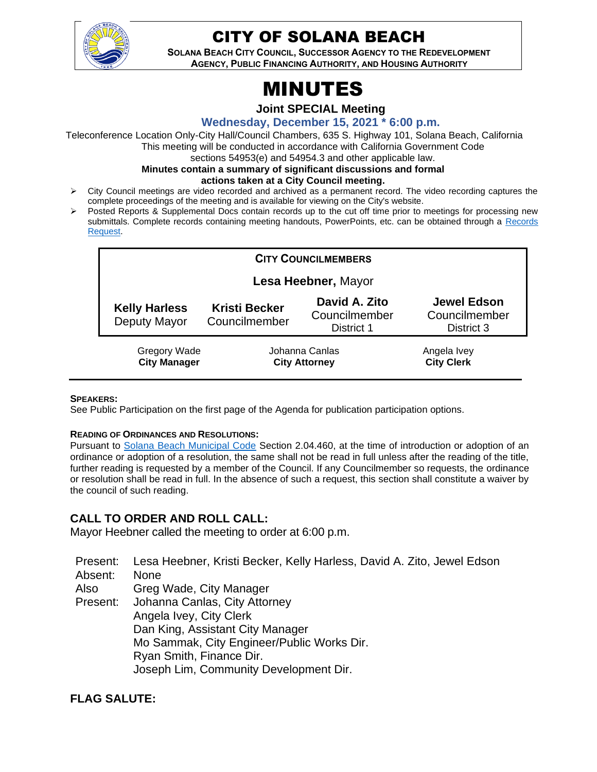

# CITY OF SOLANA BEACH

**SOLANA BEACH CITY COUNCIL, SUCCESSOR AGENCY TO THE REDEVELOPMENT AGENCY, PUBLIC FINANCING AUTHORITY, AND HOUSING AUTHORITY** 

# MINUTES

**Joint SPECIAL Meeting**

#### **Wednesday, December 15, 2021 \* 6:00 p.m.**

Teleconference Location Only-City Hall/Council Chambers, 635 S. Highway 101, Solana Beach, California This meeting will be conducted in accordance with California Government Code

sections 54953(e) and 54954.3 and other applicable law.

#### **Minutes contain a summary of significant discussions and formal**

**actions taken at a City Council meeting.**

- ➢ City Council meetings are video recorded and archived as a permanent record. The video recording captures the complete proceedings of the meeting and is available for viewing on the City's website.
- ➢ Posted Reports & Supplemental Docs contain records up to the cut off time prior to meetings for processing new submittals. Complete records containing meeting handouts, PowerPoints, etc. can be obtained through a Records [Request.](http://www.ci.solana-beach.ca.us/index.asp?SEC=F5D45D10-70CE-4291-A27C-7BD633FC6742&Type=B_BASIC)

| <b>CITY COUNCILMEMBERS</b>                 |                                        |                                              |                                                   |  |
|--------------------------------------------|----------------------------------------|----------------------------------------------|---------------------------------------------------|--|
|                                            | Lesa Heebner, Mayor                    |                                              |                                                   |  |
| <b>Kelly Harless</b><br>Deputy Mayor       | <b>Kristi Becker</b><br>Councilmember  | David A. Zito<br>Councilmember<br>District 1 | <b>Jewel Edson</b><br>Councilmember<br>District 3 |  |
| <b>Gregory Wade</b><br><b>City Manager</b> | Johanna Canlas<br><b>City Attorney</b> |                                              | Angela Ivey<br><b>City Clerk</b>                  |  |

#### **SPEAKERS:**

See Public Participation on the first page of the Agenda for publication participation options.

#### **READING OF ORDINANCES AND RESOLUTIONS:**

Pursuant to [Solana Beach Municipal Code](https://www.codepublishing.com/CA/SolanaBeach/) Section 2.04.460, at the time of introduction or adoption of an ordinance or adoption of a resolution, the same shall not be read in full unless after the reading of the title, further reading is requested by a member of the Council. If any Councilmember so requests, the ordinance or resolution shall be read in full. In the absence of such a request, this section shall constitute a waiver by the council of such reading.

# **CALL TO ORDER AND ROLL CALL:**

Mayor Heebner called the meeting to order at 6:00 p.m.

Present: Lesa Heebner, Kristi Becker, Kelly Harless, David A. Zito, Jewel Edson

Absent: None

Also Greg Wade, City Manager

Present: Johanna Canlas, City Attorney Angela Ivey, City Clerk Dan King, Assistant City Manager Mo Sammak, City Engineer/Public Works Dir. Ryan Smith, Finance Dir. Joseph Lim, Community Development Dir.

# **FLAG SALUTE:**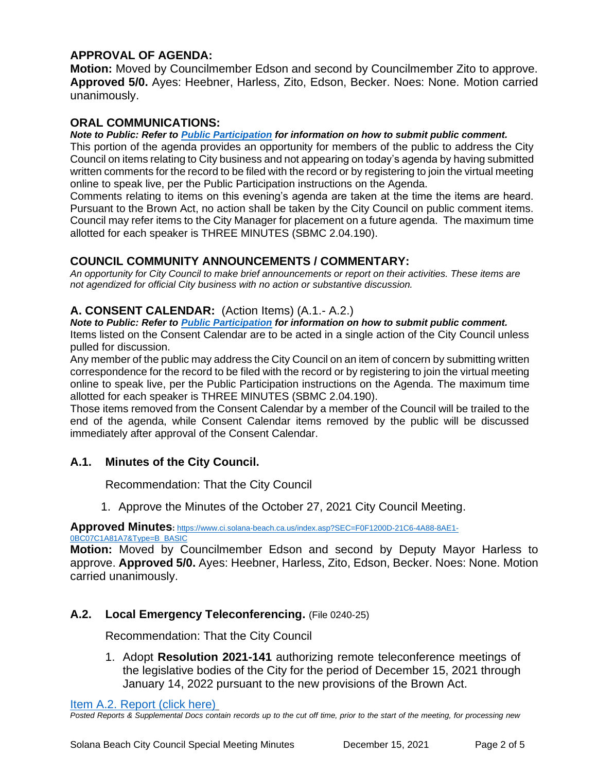# **APPROVAL OF AGENDA:**

**Motion:** Moved by Councilmember Edson and second by Councilmember Zito to approve. **Approved 5/0.** Ayes: Heebner, Harless, Zito, Edson, Becker. Noes: None. Motion carried unanimously.

## **ORAL COMMUNICATIONS:**

#### *Note to Public: Refer to Public Participation for information on how to submit public comment.*

This portion of the agenda provides an opportunity for members of the public to address the City Council on items relating to City business and not appearing on today's agenda by having submitted written comments for the record to be filed with the record or by registering to join the virtual meeting online to speak live, per the Public Participation instructions on the Agenda.

Comments relating to items on this evening's agenda are taken at the time the items are heard. Pursuant to the Brown Act, no action shall be taken by the City Council on public comment items. Council may refer items to the City Manager for placement on a future agenda. The maximum time allotted for each speaker is THREE MINUTES (SBMC 2.04.190).

### **COUNCIL COMMUNITY ANNOUNCEMENTS / COMMENTARY:**

*An opportunity for City Council to make brief announcements or report on their activities. These items are not agendized for official City business with no action or substantive discussion.* 

### **A. CONSENT CALENDAR:** (Action Items) (A.1.- A.2.)

#### *Note to Public: Refer to Public Participation for information on how to submit public comment.*

Items listed on the Consent Calendar are to be acted in a single action of the City Council unless pulled for discussion.

Any member of the public may address the City Council on an item of concern by submitting written correspondence for the record to be filed with the record or by registering to join the virtual meeting online to speak live, per the Public Participation instructions on the Agenda. The maximum time allotted for each speaker is THREE MINUTES (SBMC 2.04.190).

Those items removed from the Consent Calendar by a member of the Council will be trailed to the end of the agenda, while Consent Calendar items removed by the public will be discussed immediately after approval of the Consent Calendar.

# **A.1. Minutes of the City Council.**

Recommendation: That the City Council

1. Approve the Minutes of the October 27, 2021 City Council Meeting.

**Approved Minutes:** [https://www.ci.solana-beach.ca.us/index.asp?SEC=F0F1200D-21C6-4A88-8AE1-](https://www.ci.solana-beach.ca.us/index.asp?SEC=F0F1200D-21C6-4A88-8AE1-0BC07C1A81A7&Type=B_BASIC)

[0BC07C1A81A7&Type=B\\_BASIC](https://www.ci.solana-beach.ca.us/index.asp?SEC=F0F1200D-21C6-4A88-8AE1-0BC07C1A81A7&Type=B_BASIC)

**Motion:** Moved by Councilmember Edson and second by Deputy Mayor Harless to approve. **Approved 5/0.** Ayes: Heebner, Harless, Zito, Edson, Becker. Noes: None. Motion carried unanimously.

#### **A.2. Local Emergency Teleconferencing.** (File 0240-25)

Recommendation: That the City Council

1. Adopt **Resolution 2021-141** authorizing remote teleconference meetings of the legislative bodies of the City for the period of December 15, 2021 through January 14, 2022 pursuant to the new provisions of the Brown Act.

[Item A.2. Report \(click here\)](https://solanabeach.govoffice3.com/vertical/Sites/%7B840804C2-F869-4904-9AE3-720581350CE7%7D/uploads/Item_A.2._Report_(click_here)_-_12-15-21-_O.pdf)

*Posted Reports & Supplemental Docs contain records up to the cut off time, prior to the start of the meeting, for processing new*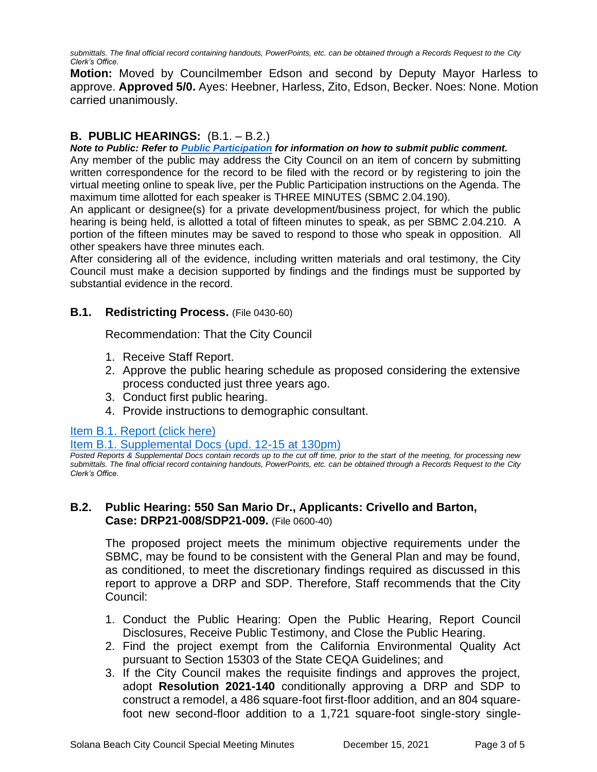*submittals. The final official record containing handouts, PowerPoints, etc. can be obtained through a Records Request to the City Clerk's Office.*

**Motion:** Moved by Councilmember Edson and second by Deputy Mayor Harless to approve. **Approved 5/0.** Ayes: Heebner, Harless, Zito, Edson, Becker. Noes: None. Motion carried unanimously.

# **B. PUBLIC HEARINGS:** (B.1. – B.2.)

*Note to Public: Refer to Public Participation for information on how to submit public comment.* 

Any member of the public may address the City Council on an item of concern by submitting written correspondence for the record to be filed with the record or by registering to join the virtual meeting online to speak live, per the Public Participation instructions on the Agenda. The maximum time allotted for each speaker is THREE MINUTES (SBMC 2.04.190).

An applicant or designee(s) for a private development/business project, for which the public hearing is being held, is allotted a total of fifteen minutes to speak, as per SBMC 2.04.210. A portion of the fifteen minutes may be saved to respond to those who speak in opposition. All other speakers have three minutes each.

After considering all of the evidence, including written materials and oral testimony, the City Council must make a decision supported by findings and the findings must be supported by substantial evidence in the record.

### **B.1. Redistricting Process.** (File 0430-60)

Recommendation: That the City Council

- 1. Receive Staff Report.
- 2. Approve the public hearing schedule as proposed considering the extensive process conducted just three years ago.
- 3. Conduct first public hearing.
- 4. Provide instructions to demographic consultant.

#### [Item B.1. Report \(click here\)](https://solanabeach.govoffice3.com/vertical/Sites/%7B840804C2-F869-4904-9AE3-720581350CE7%7D/uploads/Item_B.1._Report_(click_here)_-_12-15-21-_O.pdf)

[Item B.1. Supplemental Docs \(upd. 12-15 at 130pm\)](https://solanabeach.govoffice3.com/vertical/Sites/%7B840804C2-F869-4904-9AE3-720581350CE7%7D/uploads/Item_B.1._Supplemental_Docs_(upd._12-13_at_130pm)_-_O.pdf)

*Posted Reports & Supplemental Docs contain records up to the cut off time, prior to the start of the meeting, for processing new submittals. The final official record containing handouts, PowerPoints, etc. can be obtained through a Records Request to the City Clerk's Office.*

# **B.2. Public Hearing: 550 San Mario Dr., Applicants: Crivello and Barton, Case: DRP21-008/SDP21-009.** (File 0600-40)

The proposed project meets the minimum objective requirements under the SBMC, may be found to be consistent with the General Plan and may be found, as conditioned, to meet the discretionary findings required as discussed in this report to approve a DRP and SDP. Therefore, Staff recommends that the City Council:

- 1. Conduct the Public Hearing: Open the Public Hearing, Report Council Disclosures, Receive Public Testimony, and Close the Public Hearing.
- 2. Find the project exempt from the California Environmental Quality Act pursuant to Section 15303 of the State CEQA Guidelines; and
- 3. If the City Council makes the requisite findings and approves the project, adopt **Resolution 2021-140** conditionally approving a DRP and SDP to construct a remodel, a 486 square-foot first-floor addition, and an 804 squarefoot new second-floor addition to a 1,721 square-foot single-story single-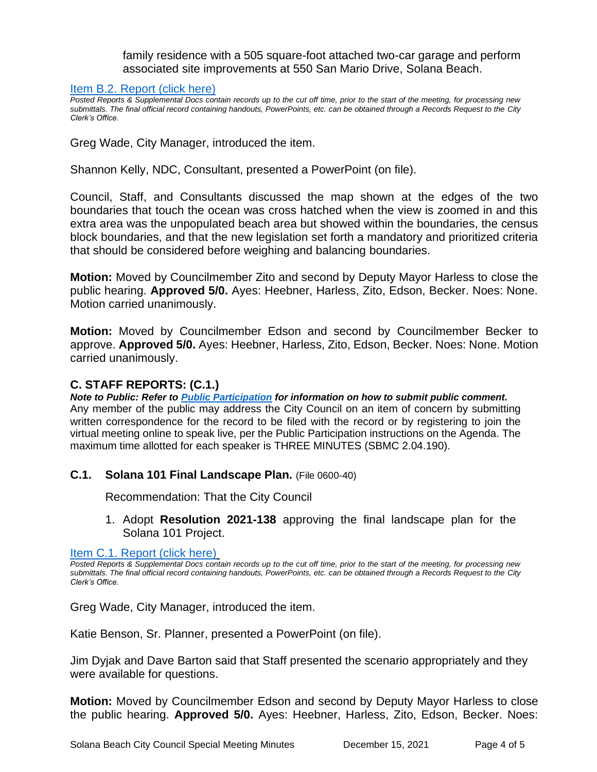family residence with a 505 square-foot attached two-car garage and perform associated site improvements at 550 San Mario Drive, Solana Beach.

#### [Item B.2. Report \(click here\)](https://solanabeach.govoffice3.com/vertical/Sites/%7B840804C2-F869-4904-9AE3-720581350CE7%7D/uploads/Item_B.2._Report_(click_here)_-_12-15-21-_O.pdf)

*Posted Reports & Supplemental Docs contain records up to the cut off time, prior to the start of the meeting, for processing new submittals. The final official record containing handouts, PowerPoints, etc. can be obtained through a Records Request to the City Clerk's Office.*

Greg Wade, City Manager, introduced the item.

Shannon Kelly, NDC, Consultant, presented a PowerPoint (on file).

Council, Staff, and Consultants discussed the map shown at the edges of the two boundaries that touch the ocean was cross hatched when the view is zoomed in and this extra area was the unpopulated beach area but showed within the boundaries, the census block boundaries, and that the new legislation set forth a mandatory and prioritized criteria that should be considered before weighing and balancing boundaries.

**Motion:** Moved by Councilmember Zito and second by Deputy Mayor Harless to close the public hearing. **Approved 5/0.** Ayes: Heebner, Harless, Zito, Edson, Becker. Noes: None. Motion carried unanimously.

**Motion:** Moved by Councilmember Edson and second by Councilmember Becker to approve. **Approved 5/0.** Ayes: Heebner, Harless, Zito, Edson, Becker. Noes: None. Motion carried unanimously.

### **C. STAFF REPORTS: (C.1.)**

*Note to Public: Refer to Public Participation for information on how to submit public comment.*  Any member of the public may address the City Council on an item of concern by submitting written correspondence for the record to be filed with the record or by registering to join the virtual meeting online to speak live, per the Public Participation instructions on the Agenda. The maximum time allotted for each speaker is THREE MINUTES (SBMC 2.04.190).

# **C.1. Solana 101 Final Landscape Plan.** (File 0600-40)

Recommendation: That the City Council

1. Adopt **Resolution 2021-138** approving the final landscape plan for the Solana 101 Project.

[Item C.1. Report \(click here\)](https://solanabeach.govoffice3.com/vertical/Sites/%7B840804C2-F869-4904-9AE3-720581350CE7%7D/uploads/Item_C.1._Report_(click_here)_-_12-15-21-_O.pdf)

*Posted Reports & Supplemental Docs contain records up to the cut off time, prior to the start of the meeting, for processing new submittals. The final official record containing handouts, PowerPoints, etc. can be obtained through a Records Request to the City Clerk's Office.*

Greg Wade, City Manager, introduced the item.

Katie Benson, Sr. Planner, presented a PowerPoint (on file).

Jim Dyjak and Dave Barton said that Staff presented the scenario appropriately and they were available for questions.

**Motion:** Moved by Councilmember Edson and second by Deputy Mayor Harless to close the public hearing. **Approved 5/0.** Ayes: Heebner, Harless, Zito, Edson, Becker. Noes: